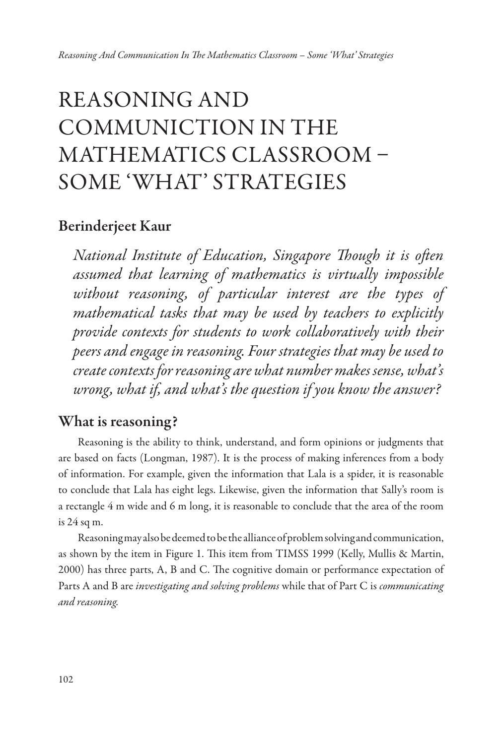# REASONING AND COMMUNICTION IN THE MATHEMATICS CLASSROOM – SOME 'WHAT' STRATEGIES

### Berinderjeet Kaur

*National Institute of Education, Singapore* T*ough it is o*f*en assumed that learning of mathematics is virtually impossible without reasoning, of particular interest are the types of mathematical tasks that may be used by teachers to explicitly pro*v*ide contexts for students to work collaboratively with their peers and engage in reasoning. Four strategies that may be used to create contexts for reasoning are what number makes sense, what's wrong, what if, and what's the question if you know the answer?*

### What is reasoning?

Reasoning is the ability to think, understand, and form opinions or judgments that are based on facts (Longman, 1987). It is the process of making inferences from a body of information. For example, given the information that Lala is a spider, it is reasonable to conclude that Lala has eight legs. Likewise, given the information that Sally's room is a rectangle 4 m wide and 6 m long, it is reasonable to conclude that the area of the room is 24 sq m.

Reasoning may also be deemed to be the alliance of problem solving and communication, as shown by the item in Figure 1. Tis item from TIMSS 1999 (Kelly, Mullis & Martin, 2000) has three parts, A, B and C. The cognitive domain or performance expectation of Parts A and B are *in*v*estigating and sol*v*ing problems* while that of Part C is *communicating and reasoning.*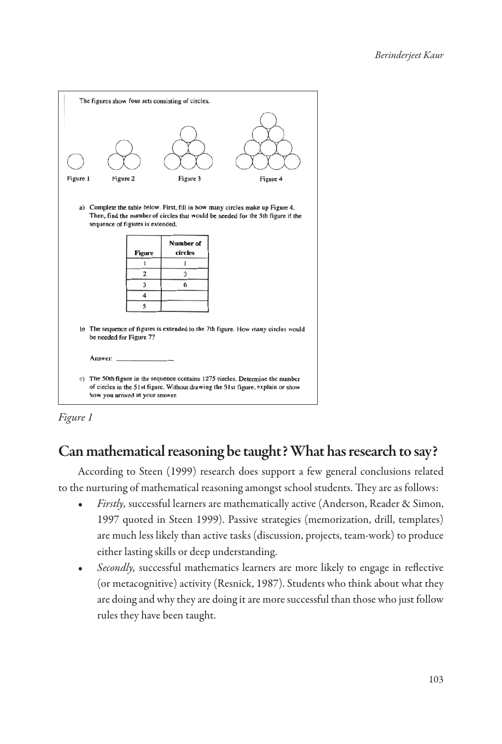|                                                                                                                                                                                                       |          |                                                            | The figures show four sets consisting of circles. |                                                                                                                                                                                                                                                       |  |  |
|-------------------------------------------------------------------------------------------------------------------------------------------------------------------------------------------------------|----------|------------------------------------------------------------|---------------------------------------------------|-------------------------------------------------------------------------------------------------------------------------------------------------------------------------------------------------------------------------------------------------------|--|--|
| Figure 1                                                                                                                                                                                              | Figure 2 |                                                            | Figure 3                                          | Figure 4                                                                                                                                                                                                                                              |  |  |
| a) Complete the table below. First, fill in how many circles make up Figure 4.<br>Then, find the number of circles that would be needed for the 5th figure if the<br>sequence of figures is extended. |          |                                                            |                                                   |                                                                                                                                                                                                                                                       |  |  |
|                                                                                                                                                                                                       |          |                                                            | <b>Number of</b>                                  |                                                                                                                                                                                                                                                       |  |  |
|                                                                                                                                                                                                       |          | <b>Figure</b>                                              | circles                                           |                                                                                                                                                                                                                                                       |  |  |
|                                                                                                                                                                                                       |          | 1                                                          | 1                                                 |                                                                                                                                                                                                                                                       |  |  |
|                                                                                                                                                                                                       |          | $\overline{2}$                                             | 3                                                 |                                                                                                                                                                                                                                                       |  |  |
|                                                                                                                                                                                                       |          | 3                                                          | 6                                                 |                                                                                                                                                                                                                                                       |  |  |
|                                                                                                                                                                                                       |          | $\overline{\mathbf{4}}$                                    |                                                   |                                                                                                                                                                                                                                                       |  |  |
|                                                                                                                                                                                                       |          | 5                                                          |                                                   |                                                                                                                                                                                                                                                       |  |  |
|                                                                                                                                                                                                       | Answer:  | be needed for Figure 7?<br>how you arrived at your answer. |                                                   | b) The sequence of figures is extended to the 7th figure. How many circles would<br>c) The 50th figure in the sequence contains 1275 circles. Determine the number<br>of circles in the 51st figure. Without drawing the 51st figure, explain or show |  |  |

*Figure 1*

# Can mathematical reasoning be taught? What has research to say?

According to Steen (1999) research does support a few general conclusions related to the nurturing of mathematical reasoning amongst school students. They are as follows:

- *• Firstly,* successful learners are mathematically active (Anderson, Reader & Simon, 1997 quoted in Steen 1999). Passive strategies (memorization, drill, templates) are much less likely than active tasks (discussion, projects, team-work) to produce either lasting skills or deep understanding.
- *• Secondly,* successful mathematics learners are more likely to engage in refective (or metacognitive) activity (Resnick, 1987). Students who think about what they are doing and why they are doing it are more successful than those who just follow rules they have been taught.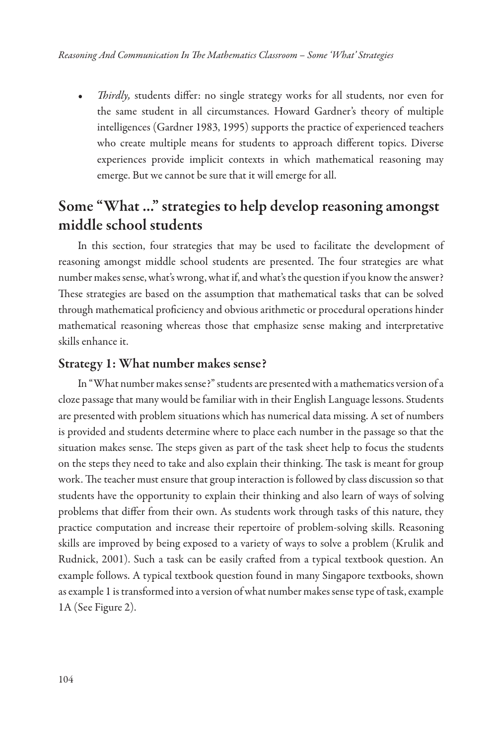*Thirdly*, students differ: no single strategy works for all students, nor even for the same student in all circumstances. Howard Gardner's theory of multiple intelligences (Gardner 1983, 1995) supports the practice of experienced teachers who create multiple means for students to approach diferent topics. Diverse experiences provide implicit contexts in which mathematical reasoning may emerge. But we cannot be sure that it will emerge for all.

# Some "What ..." strategies to help develop reasoning amongst middle school students

In this section, four strategies that may be used to facilitate the development of reasoning amongst middle school students are presented. The four strategies are what number makes sense, what's wrong, what if, and what's the question if you know the answer? These strategies are based on the assumption that mathematical tasks that can be solved through mathematical profciency and obvious arithmetic or procedural operations hinder mathematical reasoning whereas those that emphasize sense making and interpretative skills enhance it.

#### Strategy 1: What number makes sense?

In "What number makes sense?" students are presented with a mathematics version of a cloze passage that many would be familiar with in their English Language lessons. Students are presented with problem situations which has numerical data missing. A set of numbers is provided and students determine where to place each number in the passage so that the situation makes sense. The steps given as part of the task sheet help to focus the students on the steps they need to take and also explain their thinking. The task is meant for group work. The teacher must ensure that group interaction is followed by class discussion so that students have the opportunity to explain their thinking and also learn of ways of solving problems that difer from their own. As students work through tasks of this nature, they practice computation and increase their repertoire of problem-solving skills. Reasoning skills are improved by being exposed to a variety of ways to solve a problem (Krulik and Rudnick, 2001). Such a task can be easily crafed from a typical textbook question. An example follows. A typical textbook question found in many Singapore textbooks, shown as example 1 is transformed into a version of what number makes sense type of task, example 1A (See Figure 2).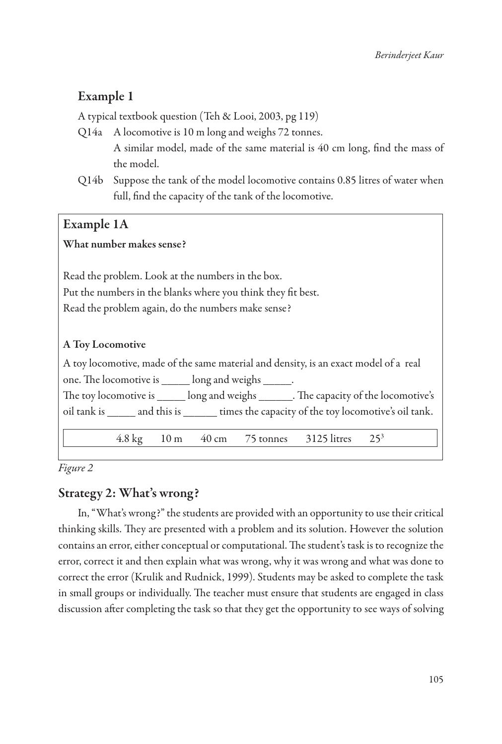### Example 1

A typical textbook question (Teh & Looi, 2003, pg 119)

- Q14a A locomotive is 10 m long and weighs 72 tonnes. A similar model, made of the same material is 40 cm long, fnd the mass of the model.
- Q14b Suppose the tank of the model locomotive contains 0.85 litres of water when full, fnd the capacity of the tank of the locomotive.

#### Example 1A

#### What number makes sense?

Read the problem. Look at the numbers in the box. Put the numbers in the blanks where you think they ft best. Read the problem again, do the numbers make sense?

#### A Toy Locomotive

A toy locomotive, made of the same material and density, is an exact model of a real one. Te locomotive is \_\_\_\_\_ long and weighs \_\_\_\_\_. The toy locomotive is \_\_\_\_\_\_ long and weighs \_\_\_\_\_\_. The capacity of the locomotive's oil tank is and this is times the capacity of the toy locomotive's oil tank. 4.8 kg 10 m 40 cm 75 tonnes 3125 litres 253

*Figure 2*

#### Strategy 2: What's wrong?

In, "What's wrong?" the students are provided with an opportunity to use their critical thinking skills. Tey are presented with a problem and its solution. However the solution contains an error, either conceptual or computational. The student's task is to recognize the error, correct it and then explain what was wrong, why it was wrong and what was done to correct the error (Krulik and Rudnick, 1999). Students may be asked to complete the task in small groups or individually. The teacher must ensure that students are engaged in class discussion afer completing the task so that they get the opportunity to see ways of solving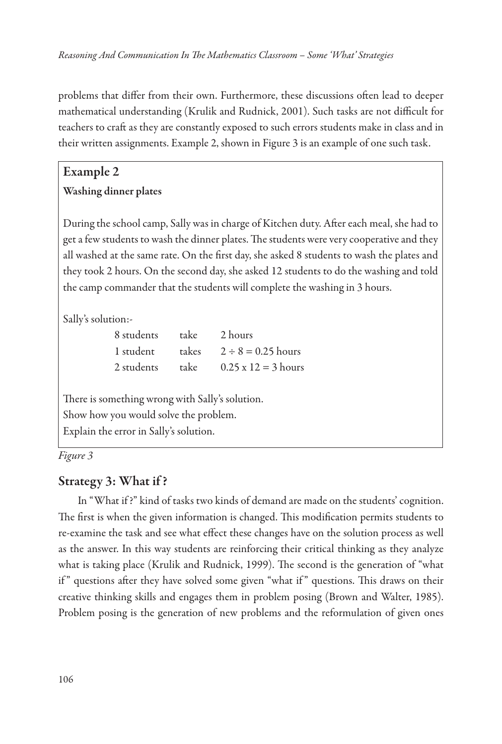problems that difer from their own. Furthermore, these discussions ofen lead to deeper mathematical understanding (Krulik and Rudnick, 2001). Such tasks are not difcult for teachers to craf as they are constantly exposed to such errors students make in class and in their written assignments. Example 2, shown in Figure 3 is an example of one such task.

# Example 2

#### Washing dinner plates

During the school camp, Sally was in charge of Kitchen duty. After each meal, she had to get a few students to wash the dinner plates. The students were very cooperative and they all washed at the same rate. On the frst day, she asked 8 students to wash the plates and they took 2 hours. On the second day, she asked 12 students to do the washing and told the camp commander that the students will complete the washing in 3 hours.

Sally's solution:-

| 8 students |      | take 2 hours                  |
|------------|------|-------------------------------|
| 1 student  |      | takes $2 \div 8 = 0.25$ hours |
| 2 students | take | $0.25 \times 12 = 3$ hours    |

There is something wrong with Sally's solution. Show how you would solve the problem. Explain the error in Sally's solution.

*Figure 3*

#### Strategy 3: What if ?

In "What if ?" kind of tasks two kinds of demand are made on the students' cognition. The first is when the given information is changed. This modification permits students to re-examine the task and see what efect these changes have on the solution process as well as the answer. In this way students are reinforcing their critical thinking as they analyze what is taking place (Krulik and Rudnick, 1999). The second is the generation of "what if" questions after they have solved some given "what if" questions. This draws on their creative thinking skills and engages them in problem posing (Brown and Walter, 1985). Problem posing is the generation of new problems and the reformulation of given ones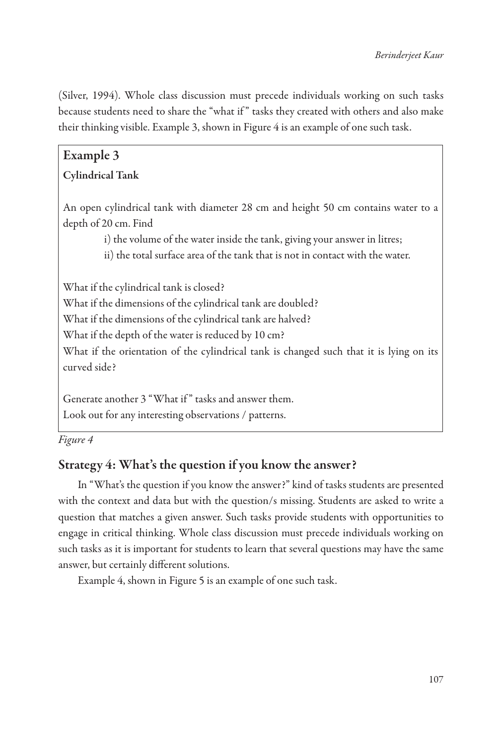(Silver, 1994). Whole class discussion must precede individuals working on such tasks because students need to share the "what if " tasks they created with others and also make their thinking visible. Example 3, shown in Figure 4 is an example of one such task.

## Example 3 Cylindrical Tank

An open cylindrical tank with diameter 28 cm and height 50 cm contains water to a depth of 20 cm. Find

i) the volume of the water inside the tank, giving your answer in litres;

ii) the total surface area of the tank that is not in contact with the water.

What if the cylindrical tank is closed? What if the dimensions of the cylindrical tank are doubled? What if the dimensions of the cylindrical tank are halved? What if the depth of the water is reduced by 10 cm? What if the orientation of the cylindrical tank is changed such that it is lying on its curved side?

Generate another 3 "What if" tasks and answer them. Look out for any interesting observations / patterns.

*Figure 4*

#### Strategy 4: What's the question if you know the answer?

In "What's the question if you know the answer?" kind of tasks students are presented with the context and data but with the question/s missing. Students are asked to write a question that matches a given answer. Such tasks provide students with opportunities to engage in critical thinking. Whole class discussion must precede individuals working on such tasks as it is important for students to learn that several questions may have the same answer, but certainly diferent solutions.

Example 4, shown in Figure 5 is an example of one such task.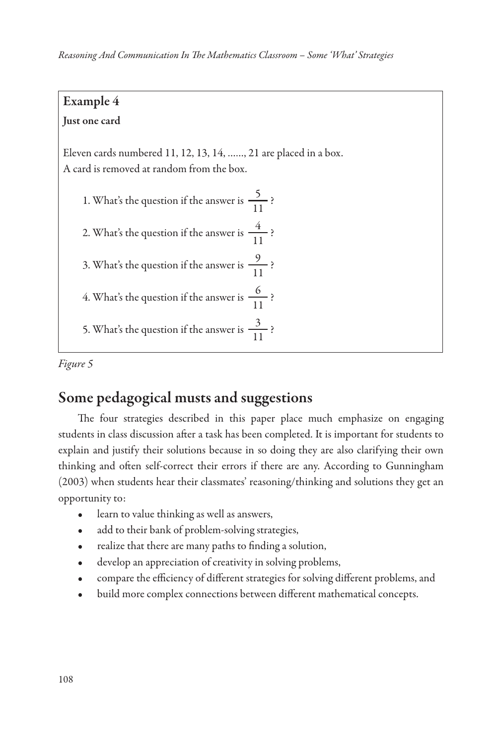### Example 4 Just one card

# Eleven cards numbered 11, 12, 13, 14, ……, 21 are placed in a box. A card is removed at random from the box.

1. What's the question if the answer is  $\frac{5}{11}$ ?

- 2. What's the question if the answer is  $\frac{4}{11}$ ?
- 3. What's the question if the answer is  $\frac{9}{11}$ ?
- 4. What's the question if the answer is  $\frac{6}{11}$ ?
- 5. What's the question if the answer is  $\frac{3}{11}$ ?

*Figure 5*

# Some pedagogical musts and suggestions

The four strategies described in this paper place much emphasize on engaging students in class discussion afer a task has been completed. It is important for students to explain and justify their solutions because in so doing they are also clarifying their own thinking and ofen self-correct their errors if there are any. According to Gunningham (2003) when students hear their classmates' reasoning/thinking and solutions they get an opportunity to:

- learn to value thinking as well as answers,
- add to their bank of problem-solving strategies,
- realize that there are many paths to finding a solution,
- develop an appreciation of creativity in solving problems,
- compare the efficiency of different strategies for solving different problems, and
- build more complex connections between diferent mathematical concepts.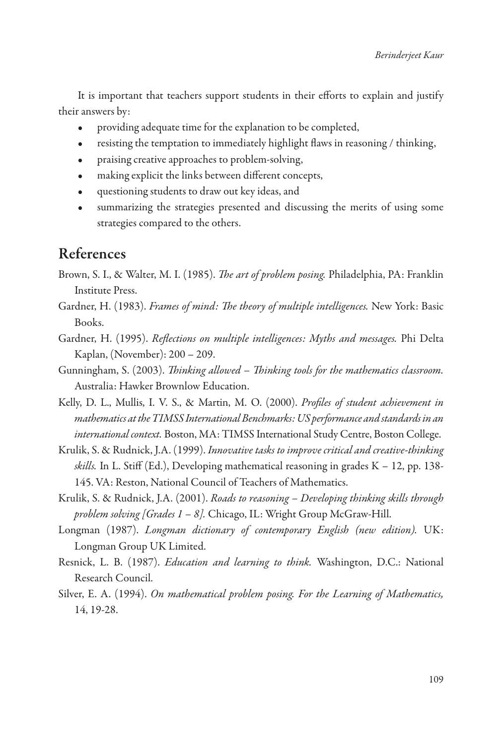It is important that teachers support students in their efforts to explain and justify their answers by:

- providing adequate time for the explanation to be completed,
- resisting the temptation to immediately highlight flaws in reasoning / thinking,
- praising creative approaches to problem-solving,
- making explicit the links between diferent concepts,
- questioning students to draw out key ideas, and
- summarizing the strategies presented and discussing the merits of using some strategies compared to the others.

### References

- Brown, S. I., & Walter, M. I. (1985). T*e art of problem posing.* Philadelphia, PA: Franklin Institute Press.
- Gardner, H. (1983). *Frames of mind:* T*e theory of multiple intelligences.* New York: Basic Books.
- Gardner, H. (1995). *Re*f*ections on multiple intelligences: Myths and messages.* Phi Delta Kaplan, (November): 200 – 209.
- Gunningham, S. (2003). T*inking allowed* T*inking tools for the mathematics classroom.* Australia: Hawker Brownlow Education.
- Kelly, D. L., Mullis, I. V. S., & Martin, M. O. (2000). *Pro*f*les of student achievement in mathematics at the TIMSS International Benchmarks: US performance and standards in an international context.* Boston, MA: TIMSS International Study Centre, Boston College.
- Krulik, S. & Rudnick, J.A. (1999). *Inno*v*ative tasks to impro*v*e critical and creative-thinking skills.* In L. Stiff (Ed.), Developing mathematical reasoning in grades  $K - 12$ , pp. 138-145. VA: Reston, National Council of Teachers of Mathematics.
- Krulik, S. & Rudnick, J.A. (2001). *Roads to reasoning Developing thinking skills through problem sol*v*ing [Grades 1 – 8].* Chicago, IL: Wright Group McGraw-Hill.
- Longman (1987). *Longman dictionary of contemporary English (new edition).* UK: Longman Group UK Limited.
- Resnick, L. B. (1987). *Education and learning to think.* Washington, D.C.: National Research Council.
- Silver, E. A. (1994). *On mathematical problem posing. For the Learning of Mathematics,*  14, 19-28.